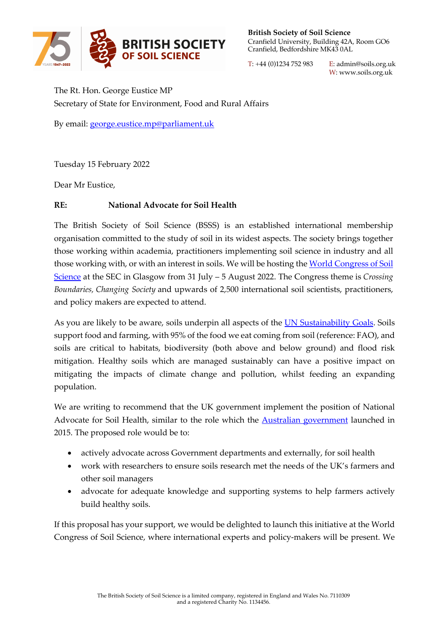

**British Society of Soil Science**  Cranfield University, Building 42A, Room GO6 Cranfield, Bedfordshire MK43 0AL

T: +44 (0)1234 752 983 E: admin@soils.org.uk W: www.soils.org.uk

The Rt. Hon. George Eustice MP Secretary of State for Environment, Food and Rural Affairs

By email: george.eustice.mp@parliament.uk

Tuesday 15 February 2022

Dear Mr Eustice,

## **RE: National Advocate for Soil Health**

The British Society of Soil Science (BSSS) is an established international membership organisation committed to the study of soil in its widest aspects. The society brings together those working within academia, practitioners implementing soil science in industry and all those working with, or with an interest in soils. We will be hosting the World Congress of Soil Science at the SEC in Glasgow from 31 July – 5 August 2022. The Congress theme is *Crossing Boundaries, Changing Society* and upwards of 2,500 international soil scientists, practitioners, and policy makers are expected to attend.

As you are likely to be aware, soils underpin all aspects of the UN Sustainability Goals. Soils support food and farming, with 95% of the food we eat coming from soil (reference: FAO), and soils are critical to habitats, biodiversity (both above and below ground) and flood risk mitigation. Healthy soils which are managed sustainably can have a positive impact on mitigating the impacts of climate change and pollution, whilst feeding an expanding population.

We are writing to recommend that the UK government implement the position of National Advocate for Soil Health, similar to the role which the Australian government launched in 2015. The proposed role would be to:

- actively advocate across Government departments and externally, for soil health
- work with researchers to ensure soils research met the needs of the UK's farmers and other soil managers
- advocate for adequate knowledge and supporting systems to help farmers actively build healthy soils.

If this proposal has your support, we would be delighted to launch this initiative at the World Congress of Soil Science, where international experts and policy-makers will be present. We